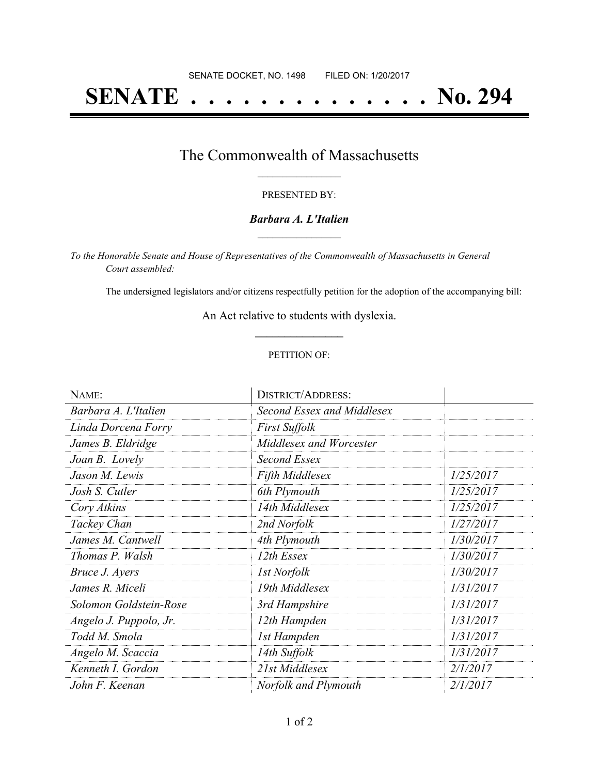# **SENATE . . . . . . . . . . . . . . No. 294**

### The Commonwealth of Massachusetts **\_\_\_\_\_\_\_\_\_\_\_\_\_\_\_\_\_**

#### PRESENTED BY:

### *Barbara A. L'Italien* **\_\_\_\_\_\_\_\_\_\_\_\_\_\_\_\_\_**

*To the Honorable Senate and House of Representatives of the Commonwealth of Massachusetts in General Court assembled:*

The undersigned legislators and/or citizens respectfully petition for the adoption of the accompanying bill:

An Act relative to students with dyslexia. **\_\_\_\_\_\_\_\_\_\_\_\_\_\_\_**

#### PETITION OF:

| NAME:                  | <b>DISTRICT/ADDRESS:</b>   |           |
|------------------------|----------------------------|-----------|
| Barbara A. L'Italien   | Second Essex and Middlesex |           |
| Linda Dorcena Forry    | <b>First Suffolk</b>       |           |
| James B. Eldridge      | Middlesex and Worcester    |           |
| Joan B. Lovely         | Second Essex               |           |
| Jason M. Lewis         | <b>Fifth Middlesex</b>     | 1/25/2017 |
| Josh S. Cutler         | 6th Plymouth               | 1/25/2017 |
| Cory Atkins            | 14th Middlesex             | 1/25/2017 |
| Tackey Chan            | 2nd Norfolk                | 1/27/2017 |
| James M. Cantwell      | 4th Plymouth               | 1/30/2017 |
| Thomas P. Walsh        | 12th Essex                 | 1/30/2017 |
| Bruce J. Ayers         | <b>1st Norfolk</b>         | 1/30/2017 |
| James R. Miceli        | 19th Middlesex             | 1/31/2017 |
| Solomon Goldstein-Rose | 3rd Hampshire              | 1/31/2017 |
| Angelo J. Puppolo, Jr. | 12th Hampden               | 1/31/2017 |
| Todd M. Smola          | 1st Hampden                | 1/31/2017 |
| Angelo M. Scaccia      | 14th Suffolk               | 1/31/2017 |
| Kenneth I. Gordon      | 21st Middlesex             | 2/1/2017  |
| John F. Keenan         | Norfolk and Plymouth       | 2/1/2017  |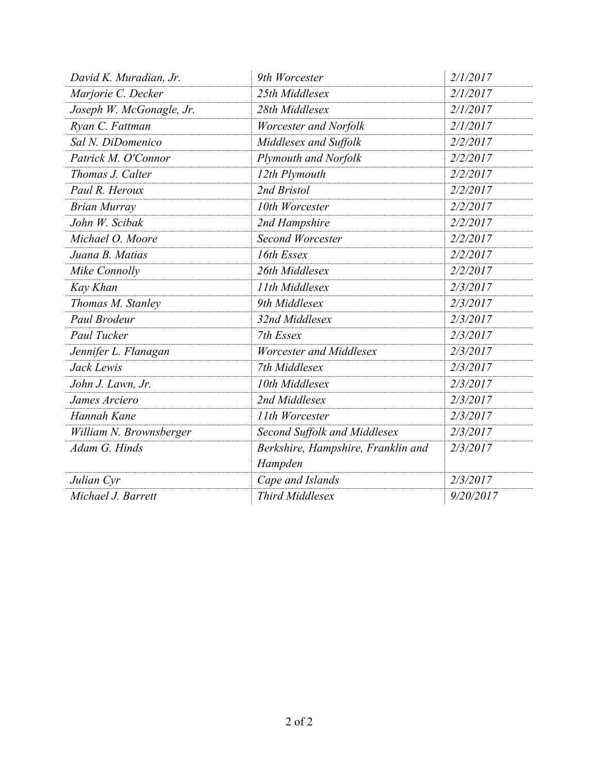| David K. Muradian, Jr.   | 9th Worcester                                 | 2/1/2017  |
|--------------------------|-----------------------------------------------|-----------|
| Marjorie C. Decker       | 25th Middlesex                                | 2/1/2017  |
| Joseph W. McGonagle, Jr. | 28th Middlesex                                | 2/1/2017  |
| Ryan C. Fattman          | Worcester and Norfolk                         | 2/1/2017  |
| Sal N. DiDomenico        | Middlesex and Suffolk                         | 2/2/2017  |
| Patrick M. O'Connor      | Plymouth and Norfolk                          | 2/2/2017  |
| Thomas J. Calter         | 12th Plymouth                                 | 2/2/2017  |
| Paul R. Heroux           | 2nd Bristol                                   | 2/2/2017  |
| <b>Brian Murray</b>      | 10th Worcester                                | 2/2/2017  |
| John W. Scibak           | 2nd Hampshire                                 | 2/2/2017  |
| Michael O. Moore         | <b>Second Worcester</b>                       | 2/2/2017  |
| Juana B. Matias          | 16th Essex                                    | 2/2/2017  |
| Mike Connolly            | 26th Middlesex                                | 2/2/2017  |
| Kay Khan                 | 11th Middlesex                                | 2/3/2017  |
| Thomas M. Stanley        | 9th Middlesex                                 | 2/3/2017  |
| Paul Brodeur             | 32nd Middlesex                                | 2/3/2017  |
| Paul Tucker              | 7th Essex                                     | 2/3/2017  |
| Jennifer L. Flanagan     | Worcester and Middlesex                       | 2/3/2017  |
| Jack Lewis               | 7th Middlesex                                 | 2/3/2017  |
| John J. Lawn, Jr.        | 10th Middlesex                                | 2/3/2017  |
| James Arciero            | 2nd Middlesex                                 | 2/3/2017  |
| Hannah Kane              | 11th Worcester                                | 2/3/2017  |
| William N. Brownsberger  | Second Suffolk and Middlesex                  | 2/3/2017  |
| Adam G. Hinds            | Berkshire, Hampshire, Franklin and<br>Hampden | 2/3/2017  |
| Julian Cyr               | Cape and Islands                              | 2/3/2017  |
| Michael J. Barrett       | Third Middlesex                               | 9/20/2017 |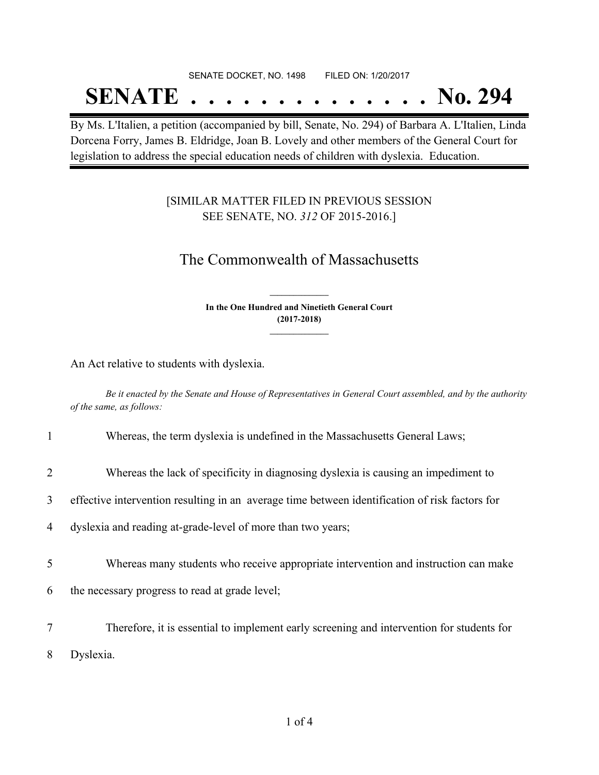# SENATE DOCKET, NO. 1498 FILED ON: 1/20/2017

# **SENATE . . . . . . . . . . . . . . No. 294**

By Ms. L'Italien, a petition (accompanied by bill, Senate, No. 294) of Barbara A. L'Italien, Linda Dorcena Forry, James B. Eldridge, Joan B. Lovely and other members of the General Court for legislation to address the special education needs of children with dyslexia. Education.

### [SIMILAR MATTER FILED IN PREVIOUS SESSION SEE SENATE, NO. *312* OF 2015-2016.]

### The Commonwealth of Massachusetts

**In the One Hundred and Ninetieth General Court (2017-2018) \_\_\_\_\_\_\_\_\_\_\_\_\_\_\_**

**\_\_\_\_\_\_\_\_\_\_\_\_\_\_\_**

An Act relative to students with dyslexia.

Be it enacted by the Senate and House of Representatives in General Court assembled, and by the authority *of the same, as follows:*

| $\mathbf{1}$ | Whereas, the term dyslexia is undefined in the Massachusetts General Laws;                     |
|--------------|------------------------------------------------------------------------------------------------|
| 2            | Whereas the lack of specificity in diagnosing dyslexia is causing an impediment to             |
| 3            | effective intervention resulting in an average time between identification of risk factors for |
| 4            | dyslexia and reading at-grade-level of more than two years;                                    |
| 5            | Whereas many students who receive appropriate intervention and instruction can make            |
| 6            | the necessary progress to read at grade level;                                                 |
| 7            | Therefore, it is essential to implement early screening and intervention for students for      |
| 8            | Dyslexia.                                                                                      |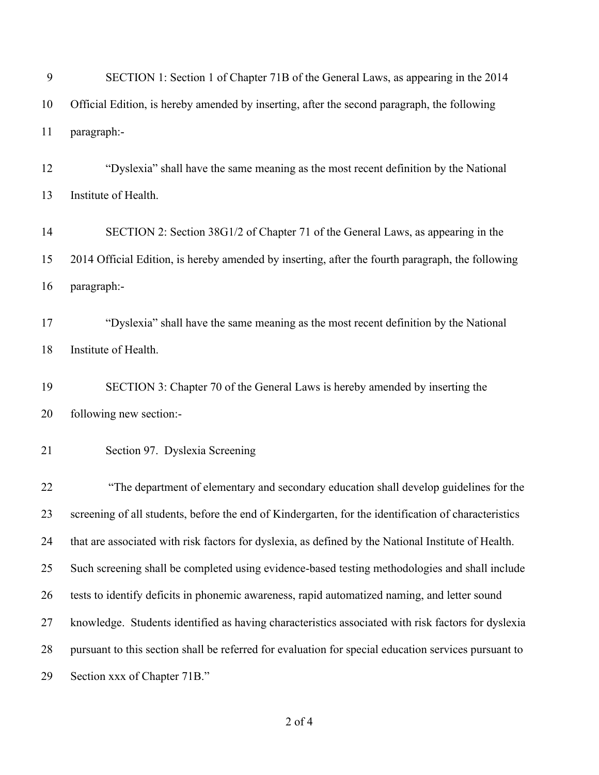| 9  | SECTION 1: Section 1 of Chapter 71B of the General Laws, as appearing in the 2014                    |
|----|------------------------------------------------------------------------------------------------------|
| 10 | Official Edition, is hereby amended by inserting, after the second paragraph, the following          |
| 11 | paragraph:-                                                                                          |
| 12 | "Dyslexia" shall have the same meaning as the most recent definition by the National                 |
| 13 | Institute of Health.                                                                                 |
| 14 | SECTION 2: Section 38G1/2 of Chapter 71 of the General Laws, as appearing in the                     |
| 15 | 2014 Official Edition, is hereby amended by inserting, after the fourth paragraph, the following     |
| 16 | paragraph:-                                                                                          |
| 17 | "Dyslexia" shall have the same meaning as the most recent definition by the National                 |
| 18 | Institute of Health.                                                                                 |
| 19 | SECTION 3: Chapter 70 of the General Laws is hereby amended by inserting the                         |
| 20 | following new section:-                                                                              |
| 21 | Section 97. Dyslexia Screening                                                                       |
| 22 | "The department of elementary and secondary education shall develop guidelines for the               |
| 23 | screening of all students, before the end of Kindergarten, for the identification of characteristics |
| 24 | that are associated with risk factors for dyslexia, as defined by the National Institute of Health.  |
| 25 | Such screening shall be completed using evidence-based testing methodologies and shall include       |
| 26 | tests to identify deficits in phonemic awareness, rapid automatized naming, and letter sound         |
| 27 | knowledge. Students identified as having characteristics associated with risk factors for dyslexia   |
| 28 | pursuant to this section shall be referred for evaluation for special education services pursuant to |
| 29 | Section xxx of Chapter 71B."                                                                         |
|    |                                                                                                      |

## of 4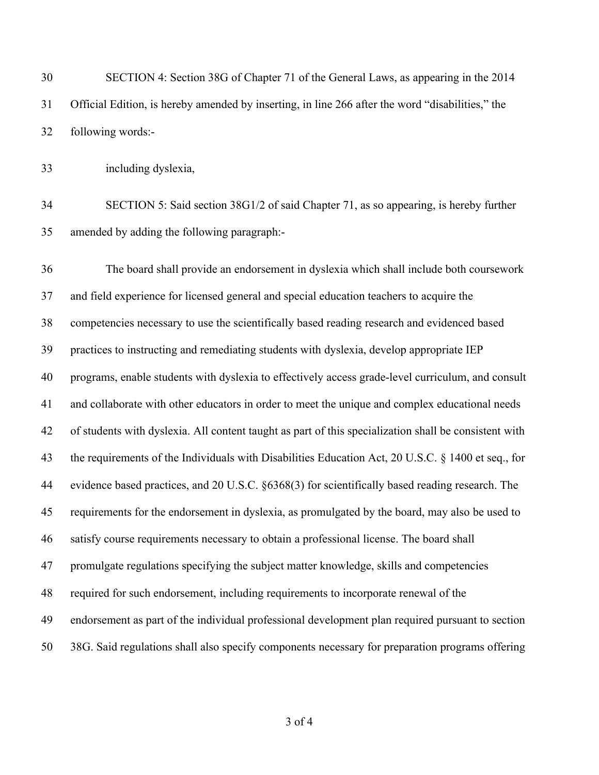SECTION 4: Section 38G of Chapter 71 of the General Laws, as appearing in the 2014 Official Edition, is hereby amended by inserting, in line 266 after the word "disabilities," the following words:-

including dyslexia,

 SECTION 5: Said section 38G1/2 of said Chapter 71, as so appearing, is hereby further amended by adding the following paragraph:-

 The board shall provide an endorsement in dyslexia which shall include both coursework and field experience for licensed general and special education teachers to acquire the competencies necessary to use the scientifically based reading research and evidenced based practices to instructing and remediating students with dyslexia, develop appropriate IEP programs, enable students with dyslexia to effectively access grade-level curriculum, and consult and collaborate with other educators in order to meet the unique and complex educational needs of students with dyslexia. All content taught as part of this specialization shall be consistent with the requirements of the Individuals with Disabilities Education Act, 20 U.S.C. § 1400 et seq., for evidence based practices, and 20 U.S.C. §6368(3) for scientifically based reading research. The requirements for the endorsement in dyslexia, as promulgated by the board, may also be used to satisfy course requirements necessary to obtain a professional license. The board shall promulgate regulations specifying the subject matter knowledge, skills and competencies required for such endorsement, including requirements to incorporate renewal of the endorsement as part of the individual professional development plan required pursuant to section 38G. Said regulations shall also specify components necessary for preparation programs offering

of 4